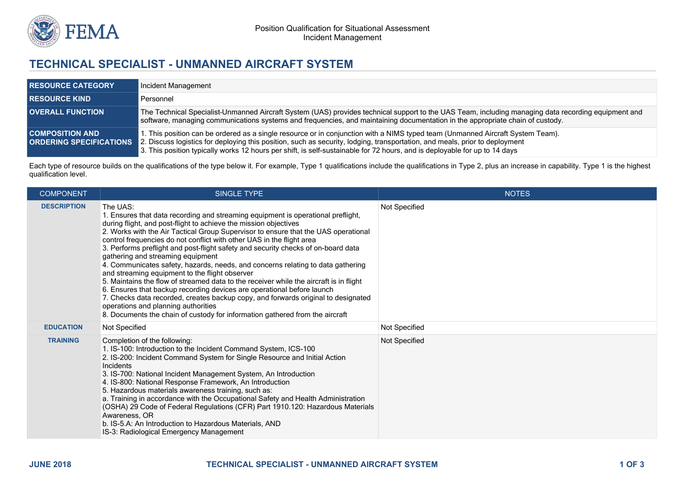

## **TECHNICAL SPECIALIST - UNMANNED AIRCRAFT SYSTEM**

| <b>RESOURCE CATEGORY</b> | Incident Management                                                                                                                                                                                                                                                                                                                                                                                                        |
|--------------------------|----------------------------------------------------------------------------------------------------------------------------------------------------------------------------------------------------------------------------------------------------------------------------------------------------------------------------------------------------------------------------------------------------------------------------|
| <b>RESOURCE KIND</b>     | Personnel                                                                                                                                                                                                                                                                                                                                                                                                                  |
| <b>OVERALL FUNCTION</b>  | The Technical Specialist-Unmanned Aircraft System (UAS) provides technical support to the UAS Team, including managing data recording equipment and<br>software, managing communications systems and frequencies, and maintaining documentation in the appropriate chain of custody.                                                                                                                                       |
| <b>COMPOSITION AND</b>   | 1. This position can be ordered as a single resource or in conjunction with a NIMS typed team (Unmanned Aircraft System Team).<br><b>ORDERING SPECIFICATIONS</b> 2. Discuss logistics for deploying this position, such as security, lodging, transportation, and meals, prior to deployment<br>3. This position typically works 12 hours per shift, is self-sustainable for 72 hours, and is deployable for up to 14 days |

Each type of resource builds on the qualifications of the type below it. For example, Type 1 qualifications include the qualifications in Type 2, plus an increase in capability. Type 1 is the highest qualification level.

| <b>COMPONENT</b>   | <b>SINGLE TYPE</b>                                                                                                                                                                                                                                                                                                                                                                                                                                                                                                                                                                                                                                                                                                                                                                                                                                                                                                                                                             | <b>NOTES</b>  |
|--------------------|--------------------------------------------------------------------------------------------------------------------------------------------------------------------------------------------------------------------------------------------------------------------------------------------------------------------------------------------------------------------------------------------------------------------------------------------------------------------------------------------------------------------------------------------------------------------------------------------------------------------------------------------------------------------------------------------------------------------------------------------------------------------------------------------------------------------------------------------------------------------------------------------------------------------------------------------------------------------------------|---------------|
| <b>DESCRIPTION</b> | The UAS:<br>1. Ensures that data recording and streaming equipment is operational preflight,<br>during flight, and post-flight to achieve the mission objectives<br>2. Works with the Air Tactical Group Supervisor to ensure that the UAS operational<br>control frequencies do not conflict with other UAS in the flight area<br>3. Performs preflight and post-flight safety and security checks of on-board data<br>gathering and streaming equipment<br>4. Communicates safety, hazards, needs, and concerns relating to data gathering<br>and streaming equipment to the flight observer<br>5. Maintains the flow of streamed data to the receiver while the aircraft is in flight<br>6. Ensures that backup recording devices are operational before launch<br>7. Checks data recorded, creates backup copy, and forwards original to designated<br>operations and planning authorities<br>8. Documents the chain of custody for information gathered from the aircraft | Not Specified |
| <b>EDUCATION</b>   | Not Specified                                                                                                                                                                                                                                                                                                                                                                                                                                                                                                                                                                                                                                                                                                                                                                                                                                                                                                                                                                  | Not Specified |
| <b>TRAINING</b>    | Completion of the following:<br>1. IS-100: Introduction to the Incident Command System, ICS-100<br>2. IS-200: Incident Command System for Single Resource and Initial Action<br>Incidents<br>3. IS-700: National Incident Management System, An Introduction<br>4. IS-800: National Response Framework, An Introduction<br>5. Hazardous materials awareness training, such as:<br>a. Training in accordance with the Occupational Safety and Health Administration<br>(OSHA) 29 Code of Federal Regulations (CFR) Part 1910.120: Hazardous Materials<br>Awareness, OR<br>b. IS-5.A: An Introduction to Hazardous Materials, AND<br>IS-3: Radiological Emergency Management                                                                                                                                                                                                                                                                                                     | Not Specified |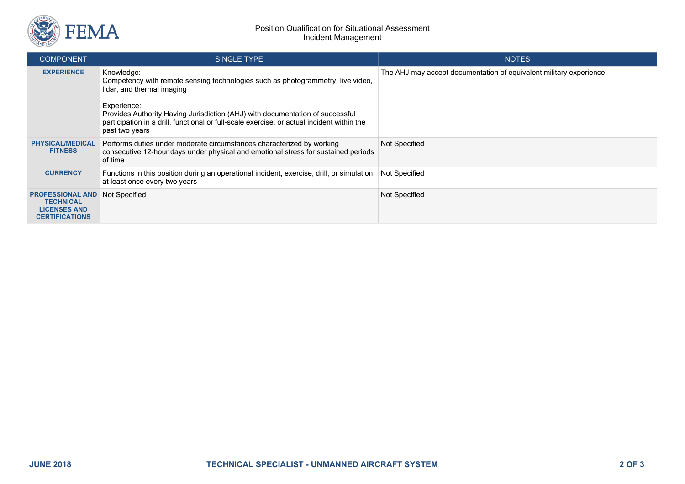

| <b>COMPONENT</b>                                                                            | SINGLE TYPE                                                                                                                                                                                                  | <b>NOTES</b>                                                        |
|---------------------------------------------------------------------------------------------|--------------------------------------------------------------------------------------------------------------------------------------------------------------------------------------------------------------|---------------------------------------------------------------------|
| <b>EXPERIENCE</b>                                                                           | Knowledge:<br>Competency with remote sensing technologies such as photogrammetry, live video,<br>lidar, and thermal imaging                                                                                  | The AHJ may accept documentation of equivalent military experience. |
|                                                                                             | Experience:<br>Provides Authority Having Jurisdiction (AHJ) with documentation of successful<br>participation in a drill, functional or full-scale exercise, or actual incident within the<br>past two years |                                                                     |
| <b>PHYSICAL/MEDICAL</b><br><b>FITNESS</b>                                                   | Performs duties under moderate circumstances characterized by working<br>consecutive 12-hour days under physical and emotional stress for sustained periods<br>of time                                       | Not Specified                                                       |
| <b>CURRENCY</b>                                                                             | Functions in this position during an operational incident, exercise, drill, or simulation<br>at least once every two years                                                                                   | Not Specified                                                       |
| <b>PROFESSIONAL AND</b><br><b>TECHNICAL</b><br><b>LICENSES AND</b><br><b>CERTIFICATIONS</b> | Not Specified                                                                                                                                                                                                | Not Specified                                                       |